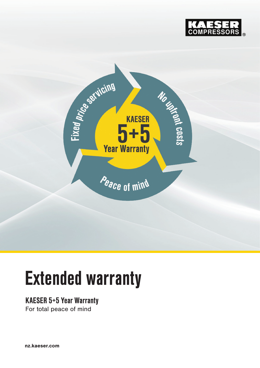



# Extended warranty

#### KAESER 5+5 Year Warranty For total peace of mind

nz.kaeser.com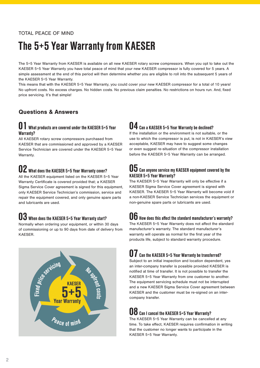#### TOTAL PEACE OF MIND

# The 5+5 Year Warranty from KAESER

The 5+5 Year Warranty from KAESER is available on all new KAESER rotary screw compressors. When you opt to take out the KAESER 5+5 Year Warranty you have total peace of mind that your new KAESER compressor is fully covered for 5 years. A simple assessment at the end of this period will then determine whether you are eligible to roll into the subsequent 5 years of the KAESER 5+5 Year Warranty.

This means that with the KAESER 5+5 Year Warranty, you could cover your new KAESER compressor for a total of 10 years! No upfront costs. No excess charges. No hidden costs. No previous claim penalties. No restrictions on hours run. And, fixed price servicing. It's that simple!

#### Questions & Answers

#### **01** What products are covered under the KAESER 5+5 Year Warranty?

All KAESER rotary screw compressors purchased from KAESER that are commissioned and approved by a KAESER Service Technician are covered under the KAESER 5+5 Year Warranty.

# 02 What does the KAESER 5+5 Year Warranty cover?

All the KAESER equipment listed on the KAESER 5+5 Year Warranty Certificate is covered provided that; a KAESER Sigma Service Cover agreement is signed for this equipment, only KAESER Service Technician's commission, service and repair the equipment covered, and only genuine spare parts and lubricants are used.

# 03 When does the KAESER 5+5 Year Warranty start?

Normally when ordering your equipment, or within 30 days of commissioning or up to 90 days from date of delivery from KAESER.



### 04 Can a KAESER 5+5 Year Warranty be declined?

If the installation or the environment is not suitable, or the use to which the compressor is put, is not in KAESER's view acceptable, KAESER may have to suggest some changes or even suggest re-situation of the compressor installation before the KAESER 5+5 Year Warranty can be arranged.

#### $\mathbf{05}$  Can anyone service my KAESER equipment covered by the KAESER 5+5 Year Warranty?

The KAESER 5+5 Year Warranty will only be effective if a KAESER Sigma Service Cover agreement is signed with KAESER. The KAESER 5+5 Year Warranty will become void if a non-KAESER Service Technician services the equipment or non-genuine spare parts or lubricants are used.

### $\mathbf{0}\mathbf{b}$  How does this affect the standard manufacturer's warranty?

The KAESER 5+5 Year Warranty does not affect the standard manufacturer's warranty. The standard manufacturer's warranty will operate as normal for the first year of the products life, subject to standard warranty procedure.

# $\mathbf{U}$  Can the KAESER 5+5 Year Warranty be transferred?

Subject to an initial inspection and location dependent, yes an inter-company transfer is possible provided KAESER is notified at time of transfer. It is not possible to transfer the KAESER 5+5 Year Warranty from one customer to another. The equipment servicing schedule must not be interrupted and a new KAESER Sigma Service Cover agreement between KAESER and the customer must be re-signed on an intercompany transfer.

## **08** Can I cancel the KAESER 5+5 Year Warranty?

The KAESER 5+5 Year Warranty can be cancelled at any time. To take effect, KAESER requires confirmation in writing that the customer no longer wants to participate in the KAESER 5+5 Year Warranty.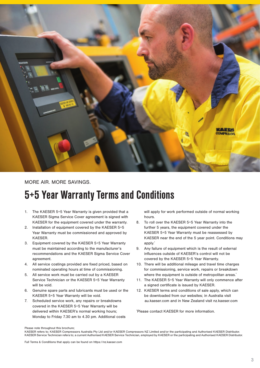

#### MORE AIR. MORE SAVINGS.

# 5+5 Year Warranty Terms and Conditions

- 1. The KAESER 5+5 Year Warranty is given provided that a KAESER Sigma Service Cover agreement is signed with KAESER for the equipment covered under the warranty.
- 2. Installation of equipment covered by the KAESER 5+5 Year Warranty must be commissioned and approved by KAESER.
- 3. Equipment covered by the KAESER 5+5 Year Warranty must be maintained according to the manufacturer's recommendations and the KAESER Sigma Service Cover agreement.
- 4. All service costings provided are fixed priced, based on nominated operating hours at time of commissioning.
- 5. All service work must be carried out by a KAESER Service Technician or the KAESER 5+5 Year Warranty will be void.
- 6. Genuine spare parts and lubricants must be used or the KAESER 5+5 Year Warranty will be void.
- 7. Scheduled service work, any repairs or breakdowns covered in the KAESER 5+5 Year Warranty will be delivered within KAESER's normal working hours; Monday to Friday 7.30 am to 4.30 pm. Additional costs

will apply for work performed outside of normal working hours.

- 8. To roll over the KAESER 5+5 Year Warranty into the further 5 years, the equipment covered under the KAESER 5+5 Year Warranty must be reassessed by KAESER near the end of the 5 year point. Conditions may apply.
- 9. Any failure of equipment which is the result of external influences outside of KAESER's control will not be covered by the KAESER 5+5 Year Warranty.
- 10. There will be additional mileage and travel time charges for commissioning, service work, repairs or breakdown where the equipment is outside of metropolitan areas.<sup>\*</sup>
- 11. The KAESER 5+5 Year Warranty will only commence after a signed certificate is issued by KAESER.
- 12. KAESER terms and conditions of sale apply, which can be downloaded from our websites; in Australia visit au.kaeser.com and in New Zealand visit nz.kaeser.com

\* Please contact KAESER for more information.

Please note throughout this brochure;

KAESER refers to; KAESER Compressors Australia Pty Ltd and/or KAESER Compressors NZ Limited and/or the participating and Authorised KAESER Distributor. KAESER Service Technician refers to; a current Authorised KAESER Service Technician, employed by KAESER or the participating and Authorised KAESER Distributor.